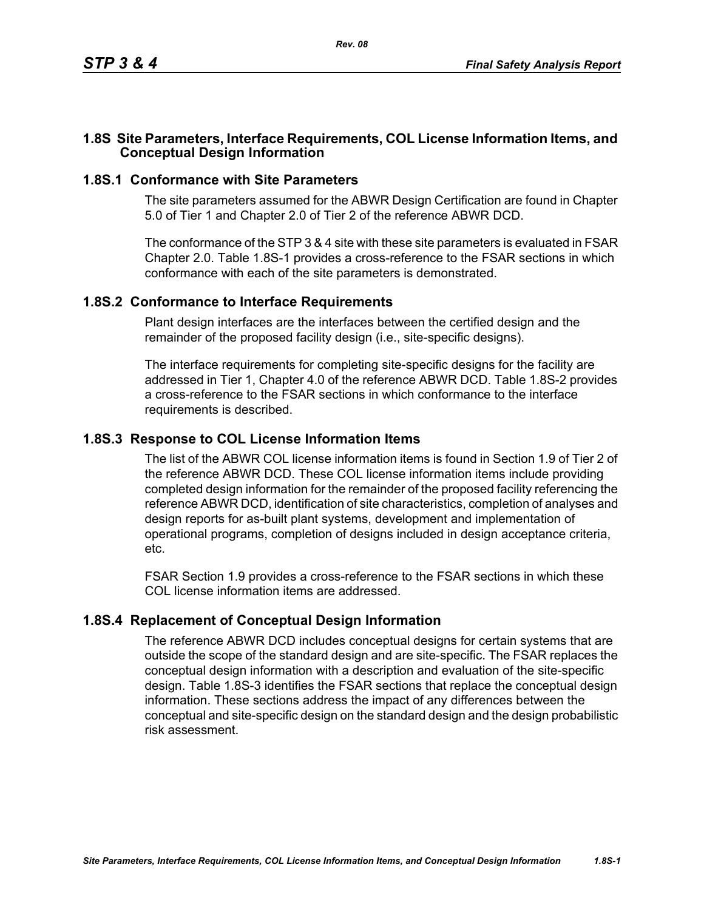## **1.8S Site Parameters, Interface Requirements, COL License Information Items, and Conceptual Design Information**

## **1.8S.1 Conformance with Site Parameters**

The site parameters assumed for the ABWR Design Certification are found in Chapter 5.0 of Tier 1 and Chapter 2.0 of Tier 2 of the reference ABWR DCD.

The conformance of the STP 3 & 4 site with these site parameters is evaluated in FSAR Chapter 2.0. Table [1.8S-1](#page-1-0) provides a cross-reference to the FSAR sections in which conformance with each of the site parameters is demonstrated.

#### **1.8S.2 Conformance to Interface Requirements**

Plant design interfaces are the interfaces between the certified design and the remainder of the proposed facility design (i.e., site-specific designs).

The interface requirements for completing site-specific designs for the facility are addressed in Tier 1, Chapter 4.0 of the reference ABWR DCD. Table [1.8S-2](#page-2-0) provides a cross-reference to the FSAR sections in which conformance to the interface requirements is described.

## **1.8S.3 Response to COL License Information Items**

The list of the ABWR COL license information items is found in Section 1.9 of Tier 2 of the reference ABWR DCD. These COL license information items include providing completed design information for the remainder of the proposed facility referencing the reference ABWR DCD, identification of site characteristics, completion of analyses and design reports for as-built plant systems, development and implementation of operational programs, completion of designs included in design acceptance criteria, etc.

FSAR Section 1.9 provides a cross-reference to the FSAR sections in which these COL license information items are addressed.

## **1.8S.4 Replacement of Conceptual Design Information**

The reference ABWR DCD includes conceptual designs for certain systems that are outside the scope of the standard design and are site-specific. The FSAR replaces the conceptual design information with a description and evaluation of the site-specific design. Table [1.8S-3](#page-3-0) identifies the FSAR sections that replace the conceptual design information. These sections address the impact of any differences between the conceptual and site-specific design on the standard design and the design probabilistic risk assessment.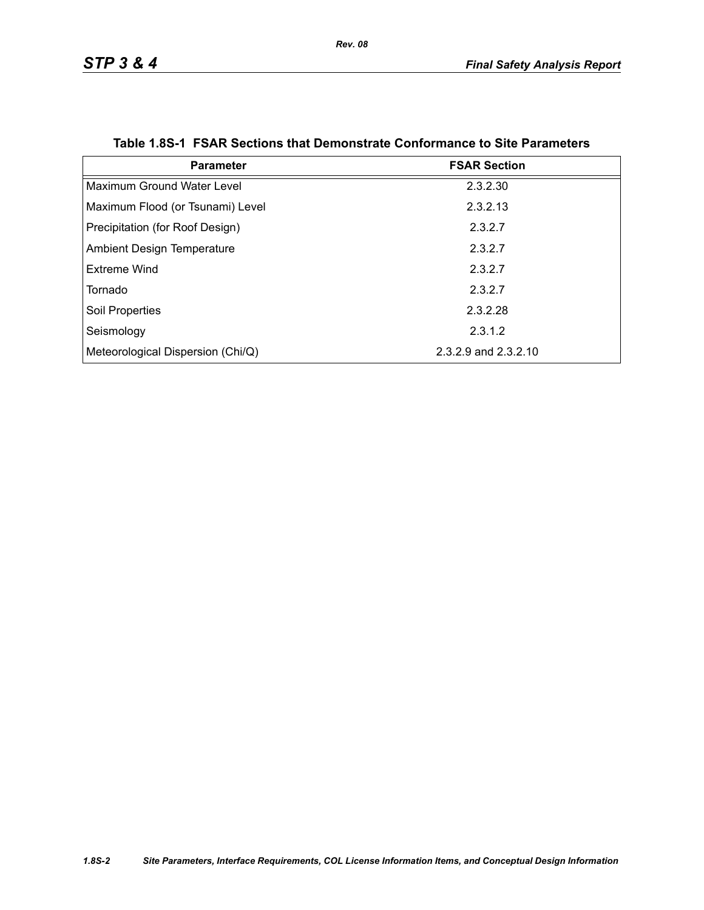<span id="page-1-0"></span>

| <b>Parameter</b>                  | <b>FSAR Section</b>  |
|-----------------------------------|----------------------|
| Maximum Ground Water Level        | 2.3.2.30             |
| Maximum Flood (or Tsunami) Level  | 2.3.2.13             |
| Precipitation (for Roof Design)   | 2.3.2.7              |
| <b>Ambient Design Temperature</b> | 2.3.2.7              |
| Extreme Wind                      | 2.3.2.7              |
| Tornado                           | 2.3.2.7              |
| <b>Soil Properties</b>            | 2.3.2.28             |
| Seismology                        | 2.3.1.2              |
| Meteorological Dispersion (Chi/Q) | 2.3.2.9 and 2.3.2.10 |

#### **Table 1.8S-1 FSAR Sections that Demonstrate Conformance to Site Parameters**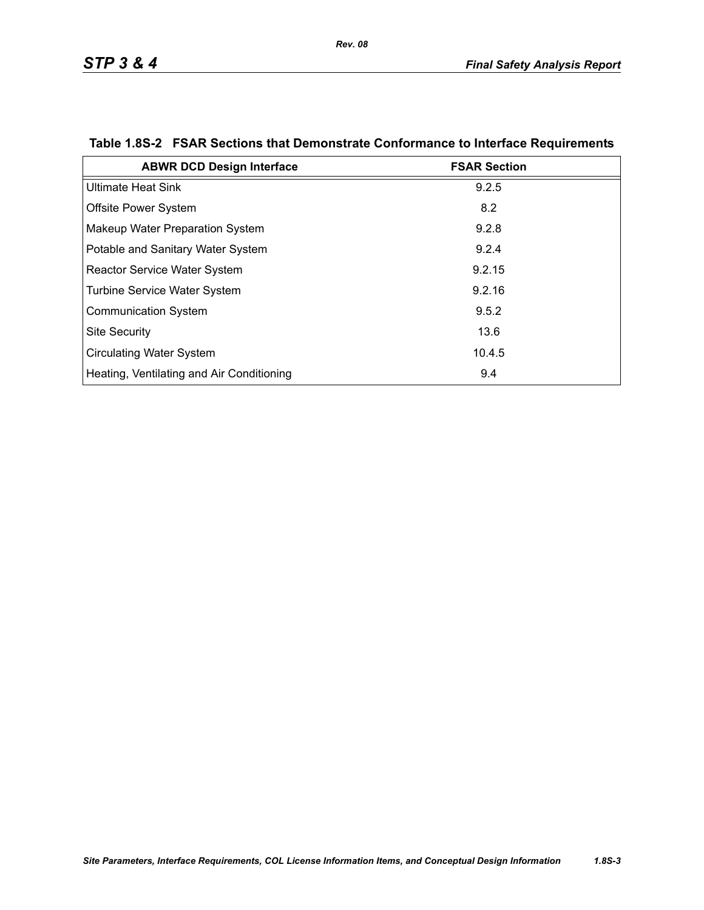| <b>ABWR DCD Design Interface</b>          | <b>FSAR Section</b> |
|-------------------------------------------|---------------------|
| <b>Ultimate Heat Sink</b>                 | 9.2.5               |
| Offsite Power System                      | 8.2                 |
| Makeup Water Preparation System           | 9.2.8               |
| Potable and Sanitary Water System         | 9.2.4               |
| <b>Reactor Service Water System</b>       | 9.2.15              |
| <b>Turbine Service Water System</b>       | 9.2.16              |
| <b>Communication System</b>               | 9.5.2               |
| <b>Site Security</b>                      | 13.6                |
| <b>Circulating Water System</b>           | 10.4.5              |
| Heating, Ventilating and Air Conditioning | 9.4                 |

# <span id="page-2-0"></span>**Table 1.8S-2 FSAR Sections that Demonstrate Conformance to Interface Requirements**